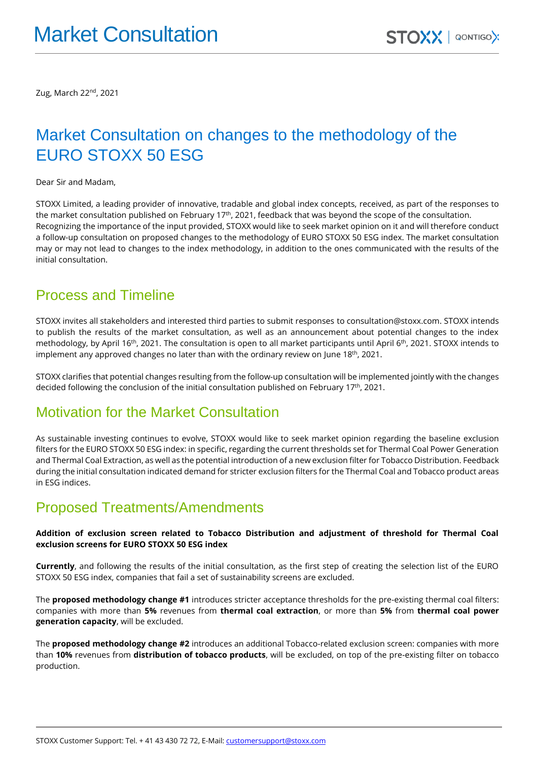Zug, March 22nd , 2021

# Market Consultation on changes to the methodology of the EURO STOXX 50 ESG

Dear Sir and Madam,

STOXX Limited, a leading provider of innovative, tradable and global index concepts, received, as part of the responses to the market consultation published on February 17<sup>th</sup>, 2021, feedback that was beyond the scope of the consultation. Recognizing the importance of the input provided, STOXX would like to seek market opinion on it and will therefore conduct a follow-up consultation on proposed changes to the methodology of EURO STOXX 50 ESG index. The market consultation may or may not lead to changes to the index methodology, in addition to the ones communicated with the results of the initial consultation.

### Process and Timeline

STOXX invites all stakeholders and interested third parties to submit responses t[o consultation@stoxx.com.](mailto:consultation@stoxx.com) STOXX intends to publish the results of the market consultation, as well as an announcement about potential changes to the index methodology, by April 16<sup>th</sup>, 2021. The consultation is open to all market participants until April 6<sup>th</sup>, 2021. STOXX intends to implement any approved changes no later than with the ordinary review on June 18<sup>th</sup>, 2021.

STOXX clarifies that potential changes resulting from the follow-up consultation will be implemented jointly with the changes decided following the conclusion of the initial consultation published on February 17<sup>th</sup>, 2021.

## Motivation for the Market Consultation

As sustainable investing continues to evolve, STOXX would like to seek market opinion regarding the baseline exclusion filters for the EURO STOXX 50 ESG index: in specific, regarding the current thresholds set for Thermal Coal Power Generation and Thermal Coal Extraction, as well as the potential introduction of a new exclusion filter for Tobacco Distribution. Feedback during the initial consultation indicated demand for stricter exclusion filters for the Thermal Coal and Tobacco product areas in ESG indices.

## Proposed Treatments/Amendments

#### **Addition of exclusion screen related to Tobacco Distribution and adjustment of threshold for Thermal Coal exclusion screens for EURO STOXX 50 ESG index**

**Currently**, and following the results of the initial consultation, as the first step of creating the selection list of the EURO STOXX 50 ESG index, companies that fail a set of sustainability screens are excluded.

The **proposed methodology change #1** introduces stricter acceptance thresholds for the pre-existing thermal coal filters: companies with more than **5%** revenues from **thermal coal extraction**, or more than **5%** from **thermal coal power generation capacity**, will be excluded.

The **proposed methodology change #2** introduces an additional Tobacco-related exclusion screen: companies with more than **10%** revenues from **distribution of tobacco products**, will be excluded, on top of the pre-existing filter on tobacco production.